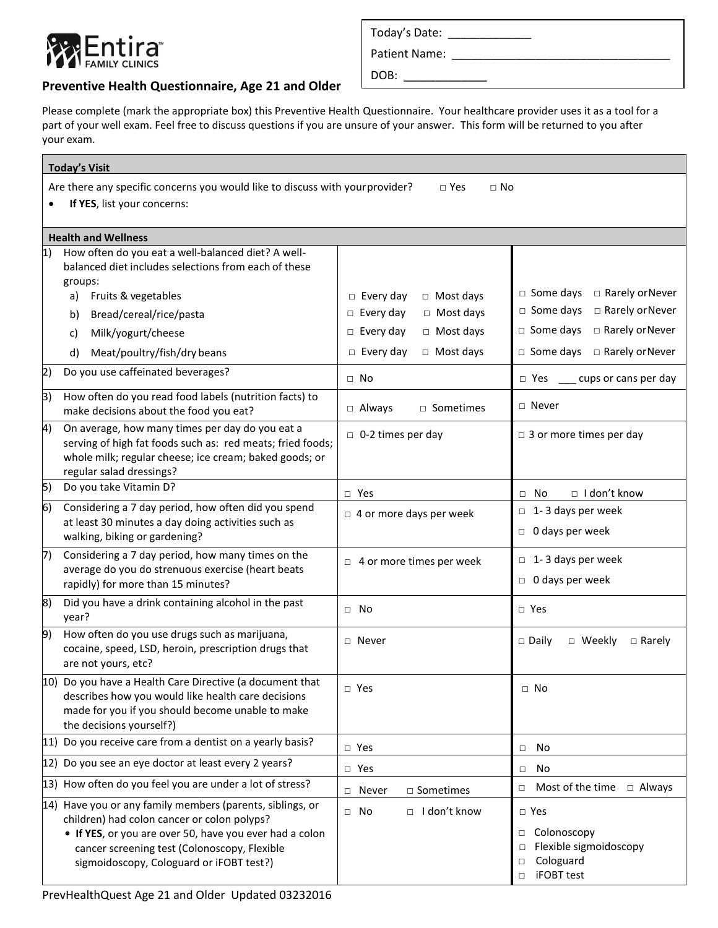

г

## **Preventive Health Questionnaire, Age 21 and Older**

Please complete (mark the appropriate box) this Preventive Health Questionnaire. Your healthcare provider uses it as a tool for a part of your well exam. Feel free to discuss questions if you are unsure of your answer. This form will be returned to you after your exam.

| <b>Today's Visit</b>                                                                                                                    |                                                                                                                                                                                                                                                                 |                                      |                                                                                                         |  |  |
|-----------------------------------------------------------------------------------------------------------------------------------------|-----------------------------------------------------------------------------------------------------------------------------------------------------------------------------------------------------------------------------------------------------------------|--------------------------------------|---------------------------------------------------------------------------------------------------------|--|--|
| Are there any specific concerns you would like to discuss with your provider?<br>$\Box$ Yes<br>$\Box$ No<br>If YES, list your concerns: |                                                                                                                                                                                                                                                                 |                                      |                                                                                                         |  |  |
|                                                                                                                                         |                                                                                                                                                                                                                                                                 |                                      |                                                                                                         |  |  |
|                                                                                                                                         | <b>Health and Wellness</b><br>How often do you eat a well-balanced diet? A well-                                                                                                                                                                                |                                      |                                                                                                         |  |  |
| 1)                                                                                                                                      | balanced diet includes selections from each of these<br>groups:                                                                                                                                                                                                 |                                      |                                                                                                         |  |  |
|                                                                                                                                         | Fruits & vegetables<br>a)                                                                                                                                                                                                                                       | $\Box$ Most days<br>$\Box$ Every day | $\Box$ Some days<br>□ Rarely or Never                                                                   |  |  |
|                                                                                                                                         | Bread/cereal/rice/pasta<br>b)                                                                                                                                                                                                                                   | □ Most days<br>$\Box$ Every day      | □ Rarely or Never<br>$\Box$ Some days                                                                   |  |  |
|                                                                                                                                         | Milk/yogurt/cheese<br>C)                                                                                                                                                                                                                                        | $\Box$ Most days<br>$\Box$ Every day | □ Rarely or Never<br>$\Box$ Some days                                                                   |  |  |
|                                                                                                                                         | Meat/poultry/fish/dry beans<br>d)                                                                                                                                                                                                                               | $\Box$ Most days<br>$\Box$ Every day | $\Box$ Some days<br>□ Rarely or Never                                                                   |  |  |
| 2)                                                                                                                                      | Do you use caffeinated beverages?                                                                                                                                                                                                                               | $\Box$ No                            | __ cups or cans per day<br>□ Yes                                                                        |  |  |
| 3)                                                                                                                                      | How often do you read food labels (nutrition facts) to<br>make decisions about the food you eat?                                                                                                                                                                | $\Box$ Always<br>□ Sometimes         | $\sqcap$ Never                                                                                          |  |  |
| 4)                                                                                                                                      | On average, how many times per day do you eat a<br>serving of high fat foods such as: red meats; fried foods;<br>whole milk; regular cheese; ice cream; baked goods; or<br>regular salad dressings?                                                             | $\Box$ 0-2 times per day             | $\Box$ 3 or more times per day                                                                          |  |  |
| 5)                                                                                                                                      | Do you take Vitamin D?                                                                                                                                                                                                                                          | $\Box$ Yes                           | $\Box$ I don't know<br>$\Box$ No                                                                        |  |  |
| $\vert 6)$                                                                                                                              | Considering a 7 day period, how often did you spend<br>at least 30 minutes a day doing activities such as<br>walking, biking or gardening?                                                                                                                      | $\Box$ 4 or more days per week       | $\Box$ 1-3 days per week<br>$\Box$ 0 days per week                                                      |  |  |
| 17)                                                                                                                                     | Considering a 7 day period, how many times on the<br>average do you do strenuous exercise (heart beats<br>rapidly) for more than 15 minutes?                                                                                                                    | $\Box$ 4 or more times per week      | $\Box$ 1-3 days per week<br>$\Box$ 0 days per week                                                      |  |  |
| 8)                                                                                                                                      | Did you have a drink containing alcohol in the past<br>year?                                                                                                                                                                                                    | $\Box$ No                            | □ Yes                                                                                                   |  |  |
| 9)                                                                                                                                      | How often do you use drugs such as marijuana,<br>cocaine, speed, LSD, heroin, prescription drugs that<br>are not yours, etc?                                                                                                                                    | □ Never                              | $\Box$ Daily<br>□ Weekly<br>$\Box$ Rarely                                                               |  |  |
|                                                                                                                                         | 10) Do you have a Health Care Directive (a document that<br>describes how you would like health care decisions<br>made for you if you should become unable to make<br>the decisions yourself?)                                                                  | $\Box$ Yes                           | $\Box$ No                                                                                               |  |  |
|                                                                                                                                         | 11) Do you receive care from a dentist on a yearly basis?                                                                                                                                                                                                       | $\Box$ Yes                           | No<br>$\Box$                                                                                            |  |  |
|                                                                                                                                         | 12) Do you see an eye doctor at least every 2 years?                                                                                                                                                                                                            | $\Box$ Yes                           | No<br>$\Box$                                                                                            |  |  |
|                                                                                                                                         | 13) How often do you feel you are under a lot of stress?                                                                                                                                                                                                        | □ Sometimes<br>□ Never               | $\Box$ Most of the time<br>$\Box$ Always                                                                |  |  |
|                                                                                                                                         | 14) Have you or any family members (parents, siblings, or<br>children) had colon cancer or colon polyps?<br>• If YES, or you are over 50, have you ever had a colon<br>cancer screening test (Colonoscopy, Flexible<br>sigmoidoscopy, Cologuard or iFOBT test?) | □ Idon't know<br>$\Box$ No           | $\square$ Yes<br>□ Colonoscopy<br>Flexible sigmoidoscopy<br>Cologuard<br>$\Box$<br>iFOBT test<br>$\Box$ |  |  |

PrevHealthQuest Age 21 and Older Updated 03232016

| Today's Date: |  |
|---------------|--|
|               |  |

Patient Name: \_\_\_\_\_\_\_\_\_\_\_\_\_\_\_\_\_\_\_\_\_\_\_\_\_\_\_\_\_\_\_\_\_\_

 $DOB:$